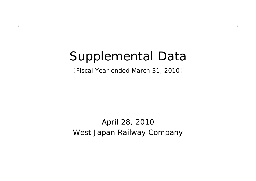# Supplemental Data

(Fiscal Year ended March 31, 2010 )

West Japan Railway Company April 28, 2010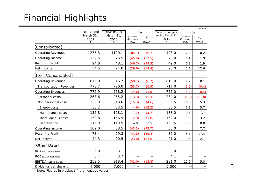## Financial Highlights

|                                | Year ended        |           |                     |         |                      |                       |         |  |
|--------------------------------|-------------------|-----------|---------------------|---------|----------------------|-----------------------|---------|--|
|                                | Year ended<br>YOY |           |                     |         | Forecast for year    | YOY                   |         |  |
|                                | March 31,         | March 31, | Increase/           | $\%$    | ending March 31      | Increase/             | $\%$    |  |
|                                | 2009<br>Α         | 2010<br>B | (Decrease)<br>$B-A$ | $B/A-1$ | 2011<br>$\mathsf{C}$ | (Decrease)<br>$C - B$ | $C/B-1$ |  |
| [Consolidated]                 |                   |           |                     |         |                      |                       |         |  |
|                                |                   |           |                     |         |                      |                       |         |  |
| <b>Operating Revenues</b>      | 1275.3            | 1190.1    | (85.1)              | (6.7)   | 1193.0               | 2.8                   | 0.2     |  |
| Operating Income               | 122.5             | 76.5      | (45.9)              | (37.5)  | 78.0                 | 1.4                   | 1.9     |  |
| <b>Recurring Profit</b>        | 94.8              | 48.1      | (46.7)              | (49.3)  | 49.0                 | 0.8                   | 1.9     |  |
| Net Income                     | 54.5              | 24.8      | (29.6)              | (54.4)  | 28.0                 | 3.1                   | 12.6    |  |
| [Non-Consolidated]             |                   |           |                     |         |                      |                       |         |  |
| <b>Operating Revenues</b>      | 875.0             | 816.7     | (58.2)              | (6.7)   | 818.0                | 1.2                   | 0.1     |  |
| <b>Transportation Revenues</b> | 773.7             | 720.0     | (53.7)              | (6.9)   | 717.0                | (3.0)                 | (0.4)   |  |
| <b>Operating Expenses</b>      | 772.9             | 758.2     | (14.6)              | (1.9)   | 755.0                | (3.2)                 | (0.4)   |  |
| Personnel costs                | 268.6             | 265.2     | (3.3)               | (1.3)   | 234.0                | (31.2)                | (11.8)  |  |
| Non personnel costs            | 333.9             | 318.6     | (15.3)              | (4.6)   | 335.5                | 16.8                  | 5.3     |  |
| Energy costs                   | 38.2              | 33.5      | (4.6)               | (12.2)  | 35.5                 | 1.9                   | 5.7     |  |
| Maintenance costs              | 135.8             | 128.1     | (7.7)               | (5.7)   | 138.0                | 9.8                   | 7.7     |  |
| Miscellaneous costs            | 159.8             | 156.9     | (2.9)               | (1.8)   | 162.0                | 5.0                   | 3.2     |  |
| Depreciation                   | 115.9             | 119.9     | 4.0                 | 3.5     | 130.5                | 10.5                  | 8.8     |  |
| Operating Income               | 102.0             | 58.5      | (43.5)              | (42.7)  | 63.0                 | 4.4                   | 7.7     |  |
| <b>Recurring Profit</b>        | 73.4              | 29.8      | (43.6)              | (59.4)  | 35.0                 | 5.1                   | 17.4    |  |
| Net Income                     | 44.3              | 20.5      | (23.8)              | (53.6)  | 21.0                 | 0.4                   | 2.1     |  |
| [Other Data]                   |                   |           |                     |         |                      |                       |         |  |
| ROA (%, Consolidated)          | 5.0               | 3.1       |                     |         | 3.0                  |                       |         |  |
| ROE (%, Consolidated)          | 8.4               | 3.7       |                     |         | 4.1                  |                       |         |  |
| EBITDA (Consolidated)          | 259.5             | 218.4     | (41.0)              | (15.8)  | 231.0                | 12.5                  | 5.8     |  |
| Dividends per share $(*)$      | 7,000             | 7,000     |                     |         | 7,000                |                       |         |  |
| .<br>$\cdots$                  |                   |           |                     |         |                      |                       |         |  |

1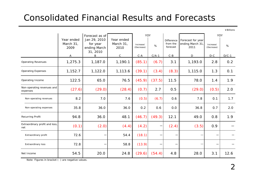## Consolidated Financial Results and Forecasts

¥Billions

|                                        |                                 | Forecast as of                                       |                                 | YOY                     |         |                                    |                                               | YOY                     |         |
|----------------------------------------|---------------------------------|------------------------------------------------------|---------------------------------|-------------------------|---------|------------------------------------|-----------------------------------------------|-------------------------|---------|
|                                        | Year ended<br>March 31,<br>2009 | Jan 29, 2010<br>for year<br>ending March<br>31, 2010 | Year ended<br>March 31,<br>2010 | Increase/<br>(Decrease) | $\%$    | Difference<br>from the<br>forecast | Forecast for year<br>ending March 31,<br>2011 | Increase/<br>(Decrease) | %       |
|                                        | Α                               | B                                                    | $\mathsf{C}$                    | $C - A$                 | $C/A-1$ | $C - B$                            | D                                             | $D-C$                   | $D/C-1$ |
| <b>Operating Revenues</b>              | 1,275.3                         | 1,187.0                                              | 1,190.1                         | (85.1)                  | (6.7)   | 3.1                                | 1,193.0                                       | 2.8                     | 0.2     |
| <b>Operating Expenses</b>              | 1,152.7                         | 1,122.0                                              | 1,113.6                         | (39.1)                  | (3.4)   | (8.3)                              | 1,115.0                                       | 1.3                     | 0.1     |
| Operating Income                       | 122.5                           | 65.0                                                 | 76.5                            | (45.9)                  | (37.5)  | 11.5                               | 78.0                                          | 1.4                     | 1.9     |
| Non-operating revenues and<br>expenses | (27.6)                          | (29.0)                                               | (28.4)                          | (0.7)                   | 2.7     | 0.5                                | (29.0)                                        | (0.5)                   | 2.0     |
| Non-operating revenues                 | 8.2                             | 7.0                                                  | 7.6                             | (0.5)                   | (6.7)   | 0.6                                | 7.8                                           | 0.1                     | 1.7     |
| Non-operating expenses                 | 35.8                            | 36.0                                                 | 36.0                            | 0.2                     | 0.6     | 0.0                                | 36.8                                          | 0.7                     | 2.0     |
| <b>Recurring Profit</b>                | 94.8                            | 36.0                                                 | 48.1                            | (46.7)                  | (49.3)  | 12.1                               | 49.0                                          | 0.8                     | 1.9     |
| Extraordinary profit and loss,<br>net  | (0.1)                           | (2.0)                                                | (4.4)                           | (4.2)                   |         | (2.4)                              | (3.5)                                         | 0.9                     |         |
| Extraordinary profit                   | 72.6                            |                                                      | 54.4                            | (18.1)                  |         |                                    |                                               |                         |         |
| Extraordinary loss                     | 72.8                            |                                                      | 58.8                            | (13.9)                  |         |                                    |                                               |                         |         |
| Net Income                             | 54.5                            | 20.0                                                 | 24.8                            | (29.6)                  | (54.4)  | 4.8                                | 28.0                                          | 3.1                     | 12.6    |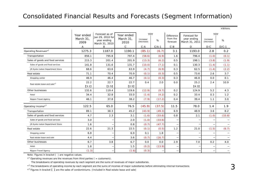#### Consolidated Financial Results and Forecasts (Segment Information)

|                                  | Year ended        | Forecast as of<br>Jan 29, 2010 for | Year ended        |                         | YOY     | <b>Difference</b>    | Forecast for                  | YOY                     |         |
|----------------------------------|-------------------|------------------------------------|-------------------|-------------------------|---------|----------------------|-------------------------------|-------------------------|---------|
|                                  | March 31,<br>2009 | year ending<br>March 31, 2010      | March 31,<br>2010 | Increase/<br>(Decrease) | %       | from the<br>forecast | year ending<br>March 31, 2011 | Increase/<br>(Decrease) | %       |
|                                  | $\mathsf{A}$      | B                                  | $\mathsf{C}$      | $C - A$                 | $C/A-1$ | $C - B$              | D                             | $D-C$                   | $D/C-1$ |
| Operating Revenues <sup>*1</sup> | 1275.3            | 1187.0                             | 1190.1            | (85.1)                  | (6.7)   | 3.1                  | 1193.0                        | 2.8                     | 0.2     |
| Transportation                   | 856.1             | 795.8                              | 797.4             | (58.6)                  | (6.9)   | 1.6                  | 796.4                         | (1.0)                   | (0.1)   |
| Sales of goods and food services | 215.3             | 201.4                              | 201.9             | (13.3)                  | (6.2)   | 0.5                  | 198.1                         | (3.8)                   | (1.9)   |
| Sales of goods and food services | 141.8             | 131.6                              | 131.7             | (10.0)                  | (7.1)   | 0.1                  | 130.3                         | (1.4)                   | (1.1)   |
| JR Kyoto Isetan Department Store | 68.6              | 63.6                               | 63.9              | (4.7)                   | (6.9)   | 0.3                  | 62.5                          | (1.4)                   | (2.2)   |
| Real estate                      | 71.1              | 70.4                               | 70.9              | (0.1)                   | (0.3)   | 0.5                  | 73.6                          | 2.6                     | 3.7     |
| Shopping center                  | 46.9              | 46.4                               | 46.7              | (0.1)                   | (0.3)   | 0.3                  | 46.8                          | 0.0                     | 0.1     |
| Real estate lease and sale*3     | 22.2              | 22.7                               | 22.7              | 0.4                     | 2.0     | 0.0                  | 25.2                          | 2.4                     | 10.9    |
|                                  | $[3.1]$           | [2.5]                              | [2.5]             |                         |         |                      | [4.3]                         |                         |         |
| Other businesses                 | 132.6             | 119.4                              | 119.6             | (12.9)                  | (9.7)   | 0.2                  | 124.9                         | 5.2                     | 4.3     |
| Hotel                            | 34.4              | 32.8                               | 33.0              | (1.4)                   | (4.2)   | 0.2                  | 33.4                          | 0.3                     | 1.2     |
| Nippon Travel Agency             | 46.1              | 37.8                               | 38.2              | (7.9)                   | (17.2)  | 0.4                  | 39.4                          | 1.1                     | 3.0     |
| Operating Income* <sup>2</sup>   | 122.5             | 65.0                               | 76.5              | (45.9)                  | (37.5)  | 11.5                 | 78.0                          | 1.4                     | 1.9     |
| Transportation                   | 89.1              | 38.3                               | 45.2              | (43.9)                  | (49.3)  | 6.9                  | 48.9                          | 3.6                     | 8.2     |
| Sales of goods and food services | 4.7               | 2.3                                | 3.1               | (1.6)                   | (33.6)  | 0.8                  | 2.1                           | (1.0)                   | (33.8)  |
| Sales of goods and food services | 3.0               |                                    | 2.0               | (1.0)                   | (33.6)  | —                    |                               | $\qquad \qquad$         |         |
| JR Kyoto Isetan Department Store | 1.6               |                                    | 0.8               | (0.7)                   | (47.7)  |                      |                               |                         |         |
| Real estate                      | 22.6              | 21.3                               | 22.5              | (0.1)                   | (0.5)   | 1.2                  | 21.0                          | (1.5)                   | (6.7)   |
| Shopping center                  | 6.8               |                                    | 6.9               | 0.1                     | 1.8     |                      |                               | $\qquad \qquad$         |         |
| Real estate lease and sale       | 4.4               |                                    | 3.6               | (0.7)                   | (16.7)  |                      |                               |                         |         |
| Other businesses                 | 6.7               | 3.8                                | 6.7               | 0.0                     | 0.0     | 2.9                  | 7.0                           | 0.2                     | 4.0     |
| Hotel                            | 1.8               |                                    | 1.5               | (0.2)                   | (13.9)  |                      |                               |                         |         |
| Nippon Travel Agency             | (1.3)             |                                    | (1.6)             | (0.3)                   |         | –                    |                               |                         | —       |

Note: Figures in bracket ( ) are negative values.

 $*$ <sup>1</sup> Operating revenues are the revenues from third parties ( = customers).

 $\mathbf{L}$ 

The breakdowns of operating revenues by each segment are the sums of revenues of major subsidiaries.

\*<sup>2</sup> The breakdowns of operating income by each segment are the sums of incomes of major subsidiaries before eliminating internal transactions.

\*3 Figures in bracket 【 】 are the sales of condominiums. (Included in Real estate lease and sale)

¥Billions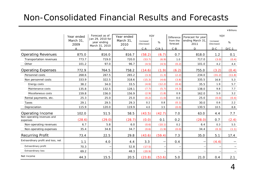### Non-Consolidated Financial Results and Forecasts

¥Billions

|                                        | Year ended<br>March 31,<br>2009 | Forecast as of<br>Jan 29, 2010 for<br>year ending<br>March 31, 2010 | Year ended<br>March 31,<br>2010 | YOY<br>Increase/<br>(Decrease) | %       | Difference<br>from the<br>forecast | Forecast for year<br>ending March 31<br>2011 | YOY<br>Increase/<br>(Decrease) | $\%$    |
|----------------------------------------|---------------------------------|---------------------------------------------------------------------|---------------------------------|--------------------------------|---------|------------------------------------|----------------------------------------------|--------------------------------|---------|
|                                        | A                               | B                                                                   | $\mathsf C$                     | $C - A$                        | $C/A-1$ | $C - B$                            | D                                            | $D-C$                          | $D/C-1$ |
| <b>Operating Revenues</b>              | 875.0                           | 816.0                                                               | 816.7                           | (58.2)                         | (6.7)   | 0.7                                | 818.0                                        | 1.2                            | 0.1     |
| Transportation revenues                | 773.7                           | 719.0                                                               | 720.0                           | (53.7)                         | (6.9)   | $1.0$                              | 717.0                                        | (3.0)                          | (0.4)   |
| Other                                  | 101.2                           | 97.0                                                                | 96.7                            | (4.5)                          | (4.5)   | (0.2)                              | 101.0                                        | 4.2                            | 4.4     |
| <b>Operating Expenses</b>              | 772.9                           | 764.5                                                               | 758.2                           | (14.6)                         | (1.9)   | (6.2)                              | 755.0                                        | (3.2)                          | (0.4)   |
| Personnel costs                        | 268.6                           | 267.5                                                               | 265.2                           | (3.3)                          | (1.3)   | (2.2)                              | 234.0                                        | (31.2)                         | (11.8)  |
| Non personnel costs                    | 333.9                           | 322.5                                                               | 318.6                           | (15.3)                         | (4.6)   | (3.8)                              | 335.5                                        | 16.8                           | 5.3     |
| Energy costs                           | 38.2                            | 34.0                                                                | 33.5                            | (4.6)                          | (12.2)  | (0.4)                              | 35.5                                         | 1.9                            | 5.7     |
| Maintenance costs                      | 135.8                           | 132.5                                                               | 128.1                           | (7.7)                          | (5.7)   | (4.3)                              | 138.0                                        | 9.8                            | 7.7     |
| Miscellaneous costs                    | 159.8                           | 156.0                                                               | 156.9                           | (2.9)                          | (1.8)   | 0.9                                | 162.0                                        | 5.0                            | 3.2     |
| Rental payments, etc.                  | 25.3                            | 25.0                                                                | 25.0                            | (0.2)                          | (1.0)   | 0.0                                | 25.0                                         | (0.0)                          | (0.4)   |
| Taxes                                  | 29.1                            | 29.5                                                                | 29.3                            | 0.2                            | 0.8     | (0.1)                              | 30.0                                         | 0.6                            | 2.2     |
| Depreciation                           | 115.9                           | 120.0                                                               | 119.9                           | 4.0                            | 3.5     | (0.0)                              | 130.5                                        | 10.5                           | 8.8     |
| Operating Income                       | 102.0                           | 51.5                                                                | 58.5                            | (43.5)                         | (42.7)  | 7.0                                | 63.0                                         | 4.4                            | 7.7     |
| Non-operating revenues and<br>expenses | (28.6)                          | (29.0)                                                              | (28.7)                          | (0.0)                          | 0.1     | 0.2                                | (28.0)                                       | 0.7                            | (2.4)   |
| Non-operating revenues                 | 6.7                             | 5.8                                                                 | $6.0$                           | (0.6)                          | (10.1)  | 0.2                                | 6.4                                          | 0.3                            | 5.5     |
| Non-operating expenses                 | 35.4                            | 34.8                                                                | 34.7                            | (0.6)                          | (1.9)   | (0.0)                              | 34.4                                         | (0.3)                          | (1.1)   |
| <b>Recurring Profit</b>                | 73.4                            | 22.5                                                                | 29.8                            | (43.6)                         | (59.4)  | 7.3                                | 35.0                                         | 5.1                            | 17.4    |
| Extraordinary profit and loss, net     | 1.1                             | 4.0                                                                 | 4.4                             | 3.3                            |         | 0.4                                |                                              | (4.4)                          |         |
| Extraordinary profit                   | 70.3                            |                                                                     | 52.8                            | (17.5)                         |         |                                    |                                              |                                |         |
| <b>Extraordinary loss</b>              | 69.2                            |                                                                     | 48.3                            | (20.9)                         |         |                                    |                                              |                                |         |
| Net Income                             | 44.3                            | 15.5                                                                | 20.5                            | (23.8)                         | (53.6)  | 5.0                                | 21.0                                         | 0.4                            | 2.1     |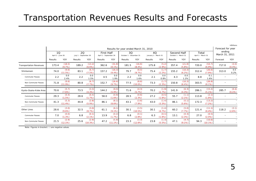### Transportation Revenues Results and Forecasts

|                                |                                       |                    |                             |                  |                                             |                     |                               |                     |                            |                 |                                     |                     |                             |                      |                          | ¥Billions                |
|--------------------------------|---------------------------------------|--------------------|-----------------------------|------------------|---------------------------------------------|---------------------|-------------------------------|---------------------|----------------------------|-----------------|-------------------------------------|---------------------|-----------------------------|----------------------|--------------------------|--------------------------|
|                                | Results for year ended March 31, 2010 |                    |                             |                  |                                             |                     |                               |                     |                            |                 |                                     | Forecast for year   |                             |                      |                          |                          |
|                                | 10<br>April 1 - June 30               |                    | 20<br>July 1 - September 30 |                  | <b>First Half</b><br>April 1 - September 30 |                     | 30<br>October 1 - December 31 |                     | 40<br>January 1 - March 31 |                 | Second Half<br>October 1 - March 31 |                     | Total<br>April 1 - March 31 |                      | ending<br>March 31, 2011 |                          |
|                                | Results                               | YOY                | Results                     | YOY              | Results                                     | YOY                 | Results                       | YOY                 | Results                    | YOY             | Results                             | YOY                 | Results                     | YOY                  | Forecast                 | YOY                      |
| <b>Transportation Revenues</b> | 173.4                                 | (18.5)<br>(9.7%)   | 189.2                       | (13.2)<br>(6.6%) | 362.6                                       | (31.8)<br>$(8.1\%)$ | 181.5                         | (16.6)<br>(8.4%)    | 175.8                      | (5.2)<br>(2.9%  | 357.4                               | (21.8)<br>(5.8%     | 720.0                       | (53.7)<br>$(6.9\%)$  | 717.0                    | (3.0)<br>(0.4%)          |
| Shinkansen                     | 74.0                                  | (9.6)<br>(11.5%)   | 83.1                        | (6.7)<br>(7.5%)  | 157.2                                       | (16.3)<br>$(9.4\%)$ | 79.7                          | (8.5)<br>(9.7%)     | 75.4                       | (1.7)<br>(2.2%) | 155.2                               | (10.3)<br>(6.2%)    | 312.4                       | (26.6)<br>(7.9%      | 313.0                    | 0.5<br>0.2%              |
| <b>Commuter Passes</b>         | 2.2                                   | 0.0<br>2.4%        | 2.2                         | 0.0<br>1.5%      | 4.5                                         | 0.0<br>1.9%         | 2.2                           | 0.0<br>1.6%         | 2.1                        | 0.0<br>0.8%     | 4.3                                 | 0.0<br>1.2%         | 8.8                         | 0.1<br>1.6%          |                          |                          |
| Non-Commuter Passes            | 71.8                                  | (9.6)<br>(11.9%)   | 80.8                        | (6.7)<br>(7.7%)  | 152.7                                       | (16.4)<br>(9.7%)    | 77.5                          | (8.6)<br>$(10.0\%)$ | 73.3                       | (1.7)<br>(2.3%) | 150.8                               | (10.3)<br>$(6.4\%)$ | 303.5                       | (26.8)<br>$(8.1\%)$  |                          | $\overline{\phantom{0}}$ |
| Kyoto-Osaka-Kobe Area          | 70.6                                  | (5.7)<br>(7.6%)    | 73.5                        | (3.3)<br>(4.3%)  | 144.2                                       | (9.0)<br>$(5.9\%)$  | 71.6                          | (4.3)<br>(5.7%)     | 70.2                       | (1.9)<br>(2.7%) | 141.9                               | (6.3)<br>(4.3%      | 286.1                       | (15.4)<br>$(5.1\%)$  | 285.7                    | (0.4)<br>$(0.1\%)$       |
| <b>Commuter Passes</b>         | 29.3                                  | (0.4)<br>(1.5%)    | 28.6                        | (0.4)<br>(1.7%)  | 58.0                                        | (0.9)<br>(1.6%)     | 28.5                          | (0.6)<br>(2.3%)     | 27.2                       | (0.5)<br>(1.8%) | 55.7                                | (1.1)<br>(2.1%      | 113.8                       | (2.1)<br>(1.8%       |                          |                          |
| Non-Commuter Passes            | 41.3                                  | (5.3)<br>(11.4%)   | 44.8                        | (2.8)<br>(5.9%   | 86.1                                        | (8.1)<br>$(8.6\%)$  | 43.1                          | (3.6)<br>(7.9%      | 43.0                       | (1.4)<br>(3.3%) | 86.1                                | (5.1)<br>(5.6%)     | 172.3                       | (13.2)<br>(7.2%      |                          | $\overline{\phantom{0}}$ |
| Other Lines                    | 28.6                                  | (3.0)<br>$(9.6\%)$ | 32.5                        | (3.0)<br>(8.7%)  | 61.1                                        | (6.1)<br>$(9.1\%)$  | 30.1                          | (3.5)<br>(10.5%)    | 30.1                       | (1.4)<br>(4.7%) | 60.2                                | (5.0)<br>(7.7%)     | 121.4                       | (11.1)<br>(8.4%)     | 118.2                    | (3.1)<br>(2.6%)          |
| Commuter Passes                | 7.0                                   | (0.0)<br>(1.3%)    | 6.8                         | (0.1)<br>(2.1%)  | 13.9                                        | (0.2)<br>(1.7%)     | 6.8                           | (0.1)<br>(2.8%)     | 6.3                        | (0.1)<br>(1.8%) | 13.1                                | (0.3)<br>(2.3%      | 27.0                        | (0.5)<br>(2.0%       |                          |                          |
| Non-Commuter Passes            | 21.5                                  | (2.9)<br>(12.1%)   | 25.6                        | (2.9)<br>(10.3%) | 47.2                                        | (5.9)<br>$(11.1\%)$ | 23.3                          | (3.3)<br>(12.6%)    | 23.8                       | (1.3)<br>(5.5%) | 47.1                                | (4.7)<br>$(9.1\%)$  | 94.3                        | (10.6)<br>$(10.1\%)$ |                          | $\overline{\phantom{0}}$ |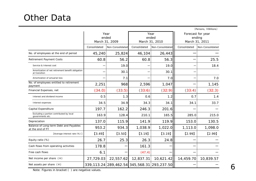### Other Data

|                                                                    |              |                                 |              |                                                 |                                               | (Persons, ¥Billions) |  |
|--------------------------------------------------------------------|--------------|---------------------------------|--------------|-------------------------------------------------|-----------------------------------------------|----------------------|--|
|                                                                    |              | Year<br>ended<br>March 31, 2009 |              | Year<br>ended<br>March 31, 2010                 | Forecast for year<br>ending<br>March 31, 2011 |                      |  |
|                                                                    | Consolidated | Non-Consolidated                | Consolidated | Non-Consolidated                                | Consolidated                                  | Non-Consolidated     |  |
| No. of employees at the end of period                              | 45,240       | 25,824                          | 46,104       | 26,443                                          |                                               |                      |  |
| <b>Retirement Payment Costs</b>                                    | 60.8         | 56.2                            | 60.8         | 56.3                                            |                                               | 25.5                 |  |
| Service & Interest cost                                            |              | 19.0                            |              | 19.0                                            |                                               | 18.4                 |  |
| Amortization of net retirement benefit obligation<br>at transition |              | 30.1                            |              | 30.1                                            |                                               |                      |  |
| Amortization of actuarial loss                                     |              | 7.1                             |              | 7.0                                             |                                               | 7.0                  |  |
| No. of employees entitled to retirement<br>payment                 | 2,251        | 968                             | 2,596        | 1,047                                           |                                               | 1,145                |  |
| Financial Expenses, net                                            | (34.0)       | (33.5)                          | (33.6)       | (32.9)                                          | (33.4)                                        | (32.3)               |  |
| Interest and dividend income                                       | 0.5          | 1.3                             | 0.6          | 1.2                                             | 0.7                                           | 1.4                  |  |
| Interest expenses                                                  | 34.5         | 34.9                            | 34.3         | 34.1                                            | 34.1                                          | 33.7                 |  |
| Capital Expenditure                                                | 197.7        | 162.2                           | 246.3        | 201.6                                           |                                               |                      |  |
| Excluding a portion contributed by local<br>governments etc.       | 163.9        | 128.4                           | 210.1        | 165.5                                           | 285.0                                         | 215.0                |  |
| Depreciation                                                       | 137.0        | 115.9                           | 141.9        | 119.9                                           | 153.0                                         | 130.5                |  |
| Balance of Long-term Debt and Payables<br>at the end of FY         | 953.2        | 934.3                           | 1,038.9      | 1,022.0                                         | 1,113.0                                       | 1,098.0              |  |
| [Average interest rate (%)]                                        | [3.49]       | $[3.50]$                        | [3.19]       | [3.19]                                          | $[2.99]$                                      | $[2.99]$             |  |
| Equity ratio (%)                                                   | 26.7         | 25.3                            | 26.3         | 24.8                                            |                                               |                      |  |
| Cash flows from operating activities                               | 178.8        |                                 | 161.3        |                                                 |                                               |                      |  |
| Free cash flows                                                    | 6.1          |                                 | (47.4)       |                                                 |                                               |                      |  |
| Net income per share $(*)$                                         | 27,729.03    | 22,557.62                       | 12,837.31    | 10,621.42                                       | 14,459.70                                     | 10,839.57            |  |
| Net assets per share $(*)$                                         |              |                                 |              | 339, 113.24 289, 462.54 345, 568.31 293, 237.50 |                                               |                      |  |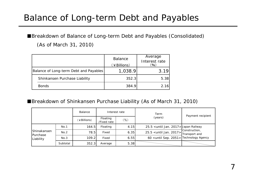## Balance of Long-term Debt and Payables

■Breakdown of Balance of Long-term Debt and Payables (Consolidated) (As of March 31, 2010)

|                                        | <b>Balance</b><br>(¥Billions) | Average<br>Interest rate<br>(96) |
|----------------------------------------|-------------------------------|----------------------------------|
| Balance of Long-term Debt and Payables | 1,038.9                       | 3.19                             |
| Shinkansen Purchase Liability          | 352.3                         | 5.38                             |
| <b>Bonds</b>                           | 384.9                         | 2.16                             |

■Breakdown of Shinkansen Purchase Liability (As of March 31, 2010)

|                       |          | Balance     |                                                                         | Interest rate | Term                                                                            | Payment recipient |
|-----------------------|----------|-------------|-------------------------------------------------------------------------|---------------|---------------------------------------------------------------------------------|-------------------|
|                       |          | (¥Billions) | Floating<br>/Fixed rate                                                 | $(\%)$        | (years)                                                                         |                   |
|                       | No.1     | 164.5       | Floating                                                                | 4.15          | 25.5 <until 2017="" jan.=""> Japan Railway</until>                              |                   |
| Shinakansen           | No.2     | 78.5        | Fixed                                                                   | 6.35          | $25.5$ <until 2017="" jan.=""><math>\frac{30}{100}</math> Transport and</until> | Construction,     |
| Purchase<br>Liability | No.3     | 109.2       | 60 <until 2051="" sep.=""> Technology Agency<br/>6.55<br/>Fixed</until> |               |                                                                                 |                   |
|                       | Subtotal | 352.3       | Average                                                                 | 5.38          |                                                                                 |                   |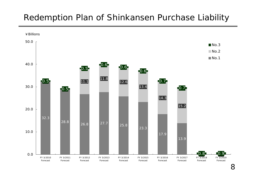### Redemption Plan of Shinkansen Purchase Liability